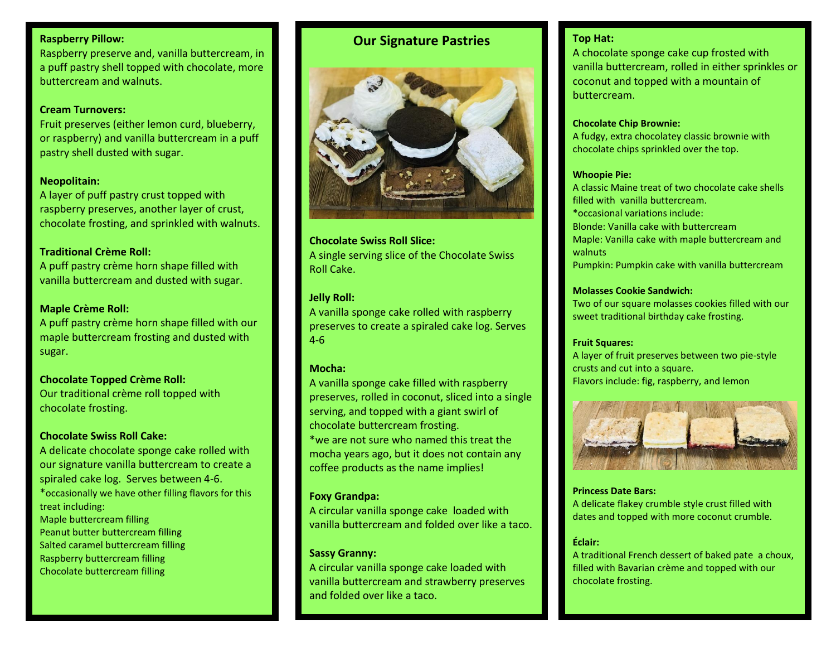## **Raspberry Pillow:**

Raspberry preserve and, vanilla buttercream, in a puff pastry shell topped with chocolate, more buttercream and walnuts.

### **Cream Turnovers:**

Fruit preserves (either lemon curd, blueberry, or raspberry) and vanilla buttercream in a puff pastry shell dusted with sugar.

## **Neopolitain:**

A layer of puff pastry crust topped with raspberry preserves, another layer of crust, chocolate frosting, and sprinkled with walnuts.

## **Traditional Crème Roll:**

A puff pastry crème horn shape filled with vanilla buttercream and dusted with sugar.

## **Maple Crème Roll:**

A puff pastry crème horn shape filled with our maple buttercream frosting and dusted with sugar.

**Chocolate Topped Crème Roll:** Our traditional crème roll topped with chocolate frosting.

## **Chocolate Swiss Roll Cake:**

A delicate chocolate sponge cake rolled with our signature vanilla buttercream to create a spiraled cake log. Serves between 4-6. \*occasionally we have other filling flavors for this treat including: Maple buttercream filling Peanut butter buttercream filling Salted caramel buttercream filling Raspberry buttercream filling Chocolate buttercream filling

## **Our Signature Pastries**



## **Chocolate Swiss Roll Slice:** A single serving slice of the Chocolate Swiss Roll Cake.

## **Jelly Roll:**

A vanilla sponge cake rolled with raspberry preserves to create a spiraled cake log. Serves 4-6

## **Mocha:**

A vanilla sponge cake filled with raspberry preserves, rolled in coconut, sliced into a single serving, and topped with a giant swirl of chocolate buttercream frosting. \*we are not sure who named this treat the mocha years ago, but it does not contain any coffee products as the name implies!

## **Foxy Grandpa:**

A circular vanilla sponge cake loaded with vanilla buttercream and folded over like a taco.

## **Sassy Granny:**

A circular vanilla sponge cake loaded with vanilla buttercream and strawberry preserves and folded over like a taco.

## **Top Hat:**

A chocolate sponge cake cup frosted with vanilla buttercream, rolled in either sprinkles or coconut and topped with a mountain of buttercream.

### **Chocolate Chip Brownie:**

A fudgy, extra chocolatey classic brownie with chocolate chips sprinkled over the top.

### **Whoopie Pie:**

A classic Maine treat of two chocolate cake shells filled with vanilla buttercream. \*occasional variations include: Blonde: Vanilla cake with buttercream Maple: Vanilla cake with maple buttercream and walnuts Pumpkin: Pumpkin cake with vanilla buttercream

### **Molasses Cookie Sandwich:**

Two of our square molasses cookies filled with our sweet traditional birthday cake frosting.

### **Fruit Squares:**

A layer of fruit preserves between two pie-style crusts and cut into a square. Flavors include: fig, raspberry, and lemon



### **Princess Date Bars:**

A delicate flakey crumble style crust filled with dates and topped with more coconut crumble.

## **Éclair:**

A traditional French dessert of baked pate a choux, filled with Bavarian crème and topped with our chocolate frosting.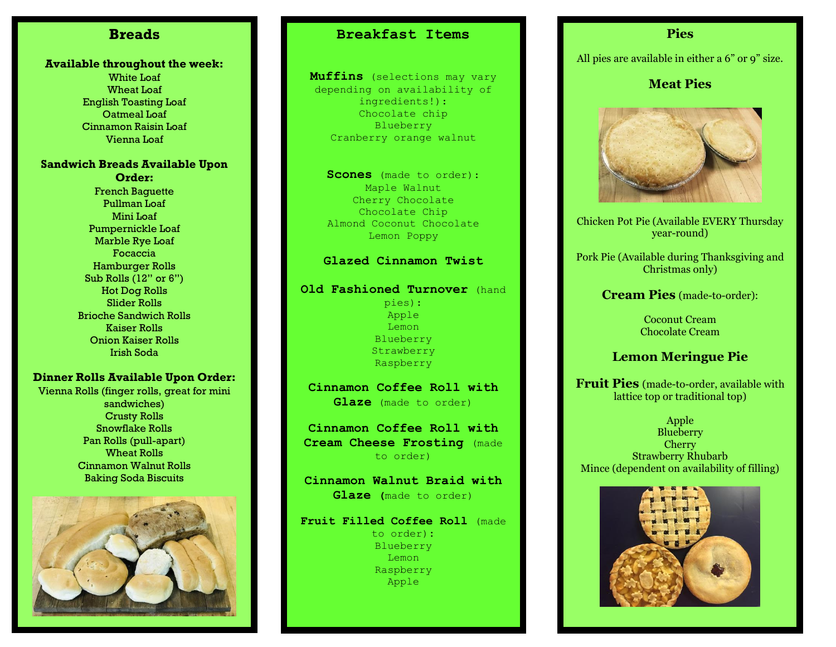# **Breads**

### **Available throughout the week:**

White Loaf Wheat Loaf English Toasting Loaf Oatmeal Loaf Cinnamon Raisin Loaf Vienna Loaf

## **Sandwich Breads Available Upon Order:**

French Baguette Pullman Loaf Mini Loaf Pumpernickle Loaf Marble Rye Loaf Focaccia Hamburger Rolls Sub Rolls (12" or 6") Hot Dog Rolls Slider Rolls Brioche Sandwich Rolls Kaiser Rolls Onion Kaiser Rolls Irish Soda

### **Dinner Rolls Available Upon Order:**

Vienna Rolls (finger rolls, great for mini sandwiches) Crusty Rolls Snowflake Rolls Pan Rolls (pull-apart) Wheat Rolls Cinnamon Walnut Rolls Baking Soda Biscuits



# **Breakfast Items**

**Muffins** (selections may vary depending on availability of ingredients!): Chocolate chip Blueberry Cranberry orange walnut

**Scones** (made to order): Maple Walnut Cherry Chocolate Chocolate Chip Almond Coconut Chocolate Lemon Poppy

### **Glazed Cinnamon Twist**

### **Old Fashioned Turnover** (hand

pies): Apple Lemon Blueberry Strawberry Raspberry

**Cinnamon Coffee Roll with Glaze** (made to order)

**Cinnamon Coffee Roll with Cream Cheese Frosting** (made to order)

**Cinnamon Walnut Braid with Glaze (**made to order)

**Fruit Filled Coffee Roll** (made to order)**:** Blueberry

Lemon Raspberry Apple

## **Pies**

All pies are available in either a 6" or 9" size.

## **Meat Pies**



Chicken Pot Pie (Available EVERY Thursday year-round)

Pork Pie (Available during Thanksgiving and Christmas only)

**Cream Pies** (made-to-order):

Coconut Cream Chocolate Cream

## **Lemon Meringue Pie**

**Fruit Pies** (made-to-order, available with lattice top or traditional top)

Apple **Blueberry** Cherry Strawberry Rhubarb Mince (dependent on availability of filling)